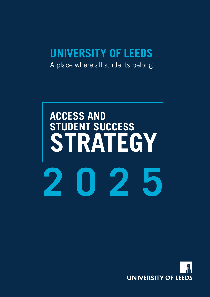### **UNIVERSITY OF LEEDS**

A place where all students belong

# **ACCESS AND STUDENT SUCCESS STRATEGY 2025**

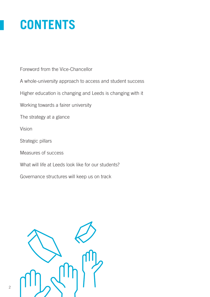## **CONTENTS**

Foreword from the Vice-Chancellor

A whole-university approach to access and student success

Higher education is changing and Leeds is changing with it

Working towards a fairer university

The strategy at a glance

Vision

Strategic pillars

Measures of success

What will life at Leeds look like for our students?

Governance structures will keep us on track

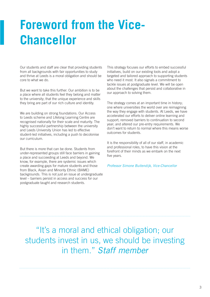## **Foreword from the Vice-Chancellor**

Our students and staff are clear that providing students from all backgrounds with fair opportunities to study and thrive at Leeds is a moral obligation and should be core to what we do.

But we want to take this further. Our ambition is to be a place where all students feel they belong and matter to the university; that the unique experience and skills they bring are part of our rich culture and identity.

We are building on strong foundations. Our Access to Leeds scheme and Lifelong Learning Centre are recognised nationally for their scale and maturity. The highly successful partnership between the university and Leeds University Union has led to effective student-led initiatives, including a push to decolonise our curriculum.

But there is more that can be done. Students from under-represented groups still face barriers in gaining a place and succeeding at Leeds and beyond. We know, for example, there are systemic issues which create awarding gaps for mature students and those from Black, Asian and Minority Ethnic (BAME) backgrounds. This is not just an issue at undergraduate level – barriers persist in access and success for our postgraduate taught and research students.

This strategy focuses our efforts to embed successful initiatives, build on our existing tools and adopt a targeted and tailored approach to supporting students who need it most. It also signals a commitment to tackle issues at postgraduate level. We will be open about the challenges that persist and collaborative in our approach to solving them.

The strategy comes at an important time in history; one where universities the world over are reimagining the way they engage with students. At Leeds, we have accelerated our efforts to deliver online learning and support; removed barriers to continuation to second year; and altered our pre-entry requirements. We don't want to return to normal where this means worse outcomes for students.

It is the responsibility of all of our staff, in academic and professional roles, to have this vision at the forefront of their minds as we embark on the next five years.

*Professor Simone Buitendijk, Vice-Chancellor*

"It's a moral and ethical obligation; our students invest in us, we should be investing in them." *Staff member*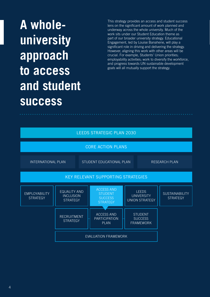# **A wholeuniversity approach to access and student success**

This strategy provides an access and student success lens on the significant amount of work planned and underway across the whole university. Much of the work sits under our Student Education theme as part of our broader university strategy. Educational Engagement, led by Louise Banahene, will play a significant role in driving and delivering the strategy. However, aligning this work with other areas will be crucial. For example, Students' Union priorities; employability activities; work to diversify the workforce, and progress towards UN sustainable development goals will all mutually support the strategy.

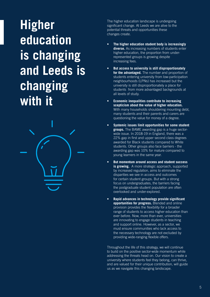# **Higher education is changing and Leeds is changing with it**



The higher education landscape is undergoing significant change. At Leeds we are alive to the potential threats and opportunities these changes create.

- **• The higher education student body is increasingly diverse.** As increasing numbers of students enter higher education, the proportion from underrepresented groups is growing despite increasing fees.
- **• But access to university is still disproportionately for the advantaged.** The number and proportion of students entering university from low-participation neighbourhoods (LPNs) has increased but the university is still disproportionately a place for students from more advantaged backgrounds at all levels of study.
- **• Economic inequalities contribute to increasing scepticism about the value of higher education.**  With many households shouldering mounting debt, many students and their parents and carers are questioning the value for money of a degree.
- **• Systemic issues limit opportunities for some student groups.** The BAME awarding gap is a huge sectorwide issue. In 2018-19 in England, there was a 22% gap in first and upper second class degrees awarded for Black students compared to White students. Other groups also face barriers - the awarding gap was 10% for mature compared to young learners in the same year.
- **• But momentum around access and student success is growing.** A more strategic approach, supported by increased regulation, aims to eliminate the disparities we see in access and outcomes for certain student groups. But with a strong focus on undergraduates, the barriers facing the postgraduate student population are often overlooked and under-explored.
- **• Rapid advances in technology provide significant opportunities for progress.** Blended and online provision provides the flexibility for a broader range of students to access higher education than ever before. Now, more than ever, universities are innovating to engage students in teaching and support online. However, as a sector, we must ensure communities who lack access to the necessary technology are not excluded by providing wide-ranging flexible offers.

Throughout the life of this strategy, we will continue to build on the positive sector-wide momentum while addressing the threats head on. Our vision to create a university where students feel they belong, can thrive, and are valued for their unique contribution, will guide us as we navigate this changing landscape.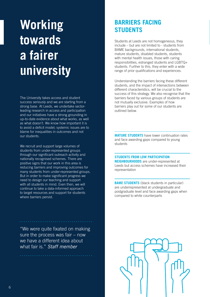# **Working towards a fairer university**

The University takes access and student success seriously and we are starting from a strong base. At Leeds, we undertake sectorleading research in access and participation and our initiatives have a strong grounding in up-to-date evidence about what works, as well as what doesn't. We know how important it is to avoid a deficit model; systemic issues are to blame for inequalities in outcomes and not our students.

We recruit and support large volumes of students from under-represented groups through our significant outreach activity and nationally recognised schemes. There are positive signs that our work in this area is reducing barriers and improving outcomes for many students from under-represented groups. But in order to make significant progress we need to design our teaching and support with all students in mind. Even then, we will continue to take a data-informed approach to target resources and support for students where barriers persist.

"We were quite fixated on making sure the process was fair – now we have a different idea about what fair is." *Staff member*

### **BARRIERS FACING STUDENTS**

Students at Leeds are not homogeneous, they include – but are not limited to - students from BAME backgrounds, international students, mature students, disabled students, students with mental health issues, those with caring responsibilities, estranged students and LGBTQ+ students. Further to this, they enter with a wide range of prior qualifications and experiences.

Understanding the barriers facing these different students, and the impact of intersections between different characteristics, will be crucial to the success of this strategy. We also recognise that the barriers faced by various groups of students are not mutually exclusive. Examples of how barriers play out for some of our students are outlined below.

**MATURE STUDENTS** have lower continuation rates and face awarding gaps compared to young students

#### **STUDENTS FROM LOW PARTICIPATION**

**NEIGHBOURHOODS** are under-represented at Leeds but access schemes have increased their representation

**BAME STUDENTS** (black students in particular) are underrepresented at undergraduate and postgraduate level and face awarding gaps when compared to white counterparts

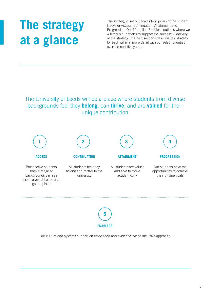# **The strategy at a glance**

The strategy is set out across four pillars of the student lifecycle: Access, Continuation, Attainment and Progression. Our fifth pillar 'Enablers' outlines where we will focus our efforts to support the successful delivery of the strategy. The next sections describe our strategy for each pillar in more detail with our select priorities over the next five years.

### The University of Leeds will be a place where students from diverse backgrounds feel they **belong**, can **thrive**, and are **valued** for their unique contribution





Our culture and systems support an embedded and evidence-based inclusive approach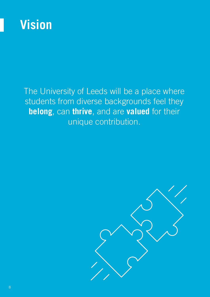

### The University of Leeds will be a place where students from diverse backgrounds feel they **belong**, can **thrive**, and are **valued** for their unique contribution.

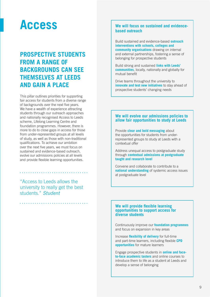### **Access**

### **PROSPECTIVE STUDENTS FROM A RANGE OF BACKGROUNDS CAN SEE THEMSELVES AT LEEDS AND GAIN A PLACE**

This pillar outlines priorities for supporting fair access for students from a diverse range of backgrounds over the next five years. We have a wealth of experience attracting students through our outreach approaches and nationally recognised Access to Leeds scheme, Lifelong Learning Centre and foundation programmes. However, there is more to do to close gaps in access for those from under-represented groups at all levels of study, as well as those with non-traditional qualifications. To achieve our ambition over the next five years, we must focus on sustained and evidence-based outreach, evolve our admissions policies at all levels and provide flexible learning opportunities.

"Access to Leeds allows the university to really get the best students." *Student*

### **We will focus on sustained and evidencebased outreach**

Build sustained and evidence-based **outreach interventions with schools, colleges and community organisations** drawing on internal and external partnerships, fostering a sense of belonging for prospective students

Build strong and sustained **links with Leeds' communities**, locally, nationally and globally for mutual benefit

Drive teams throughout the university to **innovate and test new initiatives** to stay ahead of prospective students' changing needs

### **We will evolve our admissions policies to allow fair opportunities to study at Leeds**

Provide **clear and bold messaging** about the opportunities for students from underrepresented groups to study at Leeds with a contextual offer

Address unequal access to postgraduate study through **contextual admissions at postgraduate taught and research level**

Convene and collaborate to contribute to a **national understanding** of systemic access issues at postgraduate level

#### **We will provide flexible learning opportunities to support access for diverse students**

Continuously improve our **foundation programmes** and focus on expansion in key areas

Increase **flexibility of delivery** for full-time and part-time learners, including flexible **CPD opportunities** for mature learners

Engage prospective students in **online and faceto-face academic tasters** and online courses to introduce them to life as a student at Leeds and develop a sense of belonging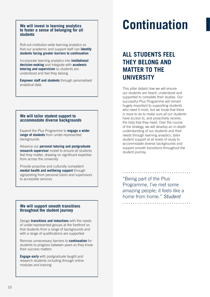#### **We will invest in learning analytics to foster a sense of belonging for all students**

Roll-out institution-wide learning analytics so that our academic and support staff can **identify students facing greater barriers to continuation**

Incorporate learning analytics into **institutional decision-making** and integrate with **academic tutoring and supervision** so students are understood and feel they belong

**Empower staff and students** through personalised analytical data

#### **We will tailor student support to accommodate diverse backgrounds**

Expand the Plus Programme to **engage a wider range of students** from under-represented backgrounds

Advance our **personal tutoring and postgraduate research supervisor** model to ensure all students feel they matter, drawing on significant expertise from across the university

Provide proactive and culturally competent **mental health and wellbeing support** through signposting from personal tutors and supervisors to accessible services

### **We will support smooth transitions throughout the student journey**

Design **transitions and inductions** with the needs of under-represented groups at the forefront so that students from a range of backgrounds and with a range of qualifications are supported

Remove unnecessary barriers to **continuation** for students to progress between years so they know their success matters

**Engage early** with postgraduate taught and research students including through online modules and training

# **Continuation**

### **ALL STUDENTS FEEL THEY BELONG AND MATTER TO THE UNIVERSITY**

This pillar details how we will ensure our students are heard, understood and supported to complete their studies. Our successful Plus Programme will remain hugely important to supporting students who need it most, but we know that there is more to do to make sure all our students have access to, and proactively receive, the help that they need. Over the course of the strategy, we will develop an in-depth understanding of our students and their needs through learning analytics, tailor student support at all levels of study to accommodate diverse backgrounds and support smooth transitions throughout the student journey.

"Being part of the Plus Programme, I've met some amazing people; it feels like a home from home." *Student*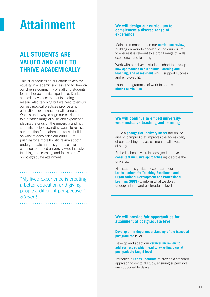### **Attainment**

### **ALL STUDENTS ARE VALUED AND ABLE TO THRIVE ACADEMICALLY**

This pillar focuses on our efforts to achieve equality in academic success and to draw on our diverse community of staff and students for a richer academic experience. Students at Leeds have access to outstanding research-led teaching but we need to ensure our pedagogical practices provide a rich educational experience for all learners. Work is underway to align our curriculum to a broader range of skills and experience, placing the onus on the university and not students to close awarding gaps. To realise our ambition for attainment, we will build on work to decolonise our curriculum, pushing for a more holistic review at both undergraduate and postgraduate level; continue to embed university-wide inclusive teaching and learning; and focus our efforts on postgraduate attainment.

"My lived experience is creating a better education and giving people a different perspective." *Student*

#### **We will design our curriculum to complement a diverse range of experience**

Maintain momentum on our **curriculum review**, building on work to decolonise the curriculum, to ensure it is relevant to a broad range of skills, experience and learning

Work with our diverse student cohort to develop **new approaches to curriculum, learning and teaching, and assessment** which support success and employability

Launch programmes of work to address the **hidden curriculum**

#### **We will continue to embed universitywide inclusive teaching and learning**

Build a **pedagogical delivery model** (for online and on campus) that improves the accessibility of our teaching and assessment at all levels of study

Embed school-level roles designed to drive **consistent inclusive approaches** right across the university

Harness the significant expertise in our **Leeds Institute for Teaching Excellence and Organisational Development and Professional Learning (ODPL)** to inform what we do at undergraduate and postgraduate level

#### **We will provide fair opportunities for attainment at postgraduate level**

**Develop an in-depth understanding of the issues at postgraduate** level

Develop and adapt our **curriculum review to address issues which lead to awarding gaps at postgraduate taught level** 

Introduce a **Leeds Doctorate** to provide a standard approach to doctoral study, ensuring supervisors are supported to deliver it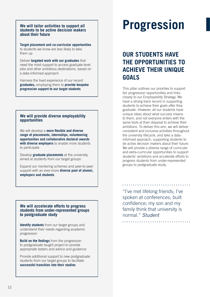#### **We will tailor activities to support all students to be active decision makers about their future**

**Target placement and co-curricular opportunities** to students we know are less likely to take them up

Deliver **targeted work with our graduates** that need the most support to access graduate-level jobs and other ambitious destinations, based on a data-informed approach

Harness the lived experience of our recent **graduates,** employing them to **provide bespoke progression support to our target students** 

### **We will provide diverse employability opportunities**

We will develop a **more flexible and diverse range of placements, internships, volunteering opportunities and collaborative doctoral awards with diverse employers** to enable more students to participate

Develop **graduate placements** at the university, aimed at students from our target groups

Expand our mentoring schemes and peer-to-peer support with an ever-more **diverse pool of alumni, employers and students**

#### **We will accelerate efforts to progress students from under-represented groups to postgraduate study**

**Identify students** from our target groups and understand their needs regarding academic progression

**Build on the findings** from the progression to postgraduate taught project to provide appropriate tasters and advice and guidance

Provide additional support to new postgraduate students from our target groups to facilitate **successful transition into their studies**

# **Progression**

### **OUR STUDENTS HAVE THE OPPORTUNITIES TO ACHIEVE THEIR UNIQUE GOALS**

This pillar outlines our priorities to support fair progression opportunities and links closely to our Employability Strategy. We have a strong track record in supporting students to achieve their goals after they graduate. However, all our students have unique ideas about what success means to them, and not everyone enters with the same tools at their disposal to achieve their ambitions. To deliver this aim, we will deliver consistent and inclusive activities throughout the university lifecycle, and take a datainformed approach, supporting students to be active decision makers about their future. We will provide a diverse range of curricular and extra-curricular opportunities to support students' ambitions and accelerate efforts to progress students from under-represented groups to postgraduate study.

"I've met lifelong friends; I've spoken at conferences; built confidence; my son and my family think that university is normal." *Student*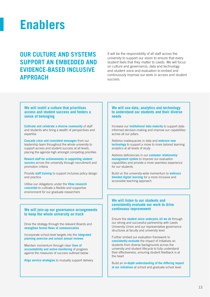

### **OUR CULTURE AND SYSTEMS SUPPORT AN EMBEDDED AND EVIDENCE-BASED INCLUSIVE APPROACH**

It will be the responsibility of all staff across the university to support our vision to ensure that every student feels that they matter to Leeds. We will focus on culture and governance, data and technology and student voice and evaluation to embed and continuously improve our work in access and student success.

#### **We will instill a culture that prioritises access and student success and fosters a sense of belonging**

**Cultivate and celebrate a diverse community** of staff and students who bring a wealth of perspectives and expertise

**Cascade clear and consistent messages** from our leadership team throughout the whole university to support access and student success at all levels, placing the agenda high amongst competing priorities

**Reward staff for achievements in supporting student success** across the university through recruitment and promotion criteria

Provide **staff training** to support inclusive policy design and practice

Utilise our obligations under the **Vitae research concordat** to cultivate a flexible and supportive environment for our graduate researchers

#### **We will join-up our governance arrangements to keep the whole university on track**

Drive the strategy through the relevant Boards and **strengthen formal flows of communication** 

Incorporate school-level targets into the **integrated planning exercise and school annual reviews**

Maintain momentum through clear **lines of accountability and active monitoring** of progress against the measures of success outlined below

**Align service strategies** to mutually support delivery

#### **We will use data, analytics and technology to understand our students and their diverse needs**

Increase our **institutional data maturity** to support datainformed decision-making and improve our capabilities across all our pillars

Address inadequacies in data and **embrace new technology** to support a move to more tailored learning analytics at all levels of study

Address deficiencies in our **customer relationship management system** to improve our evaluation capabilities and provide a more seamless experience for our students

Build on the university-wide momentum to **embrace blended digital learning** for a more inclusive and accessible teaching approach

#### **We will listen to our students and consistently evaluate our work to drive continuous improvement**

Ensure the **student voice underpins all we do** through our strong and successful partnership with Leeds University Union and our representative governance structures at faculty and university level

Further embed our evaluation framework to **consistently evaluate** the impact of initiatives on students from diverse backgrounds across the university and student lifecycle to fully understand their effectiveness, ensuring student feedback is at the heart

Build an **in-depth understanding of the differing impact of our initiatives** at school and graduate school level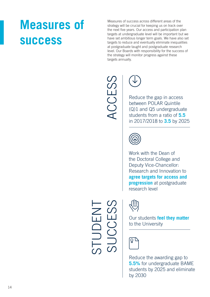### **Measures of success**

Measures of success across different areas of the strategy will be crucial for keeping us on track over the next five years. Our access and participation plan targets at undergraduate level will be important but we have set ambitious longer term goals. We have also set targets to reduce and eventually eliminate inequalities at postgraduate taught and postgraduate research level. Our Boards with responsibility for the success of the strategy will monitor progress against these targets annually.

 $\begin{array}{c} \begin{array}{|c} \hline \textbf{C} \end{array} & \begin{array}{|c} \hline \textbf{C} \end{array} \\ \hline \begin{array}{c} \text{Reduce the gap in access} \\ \text{between POLAR Quintile} \\ \text{(Q)}1 \text{ and Q5 undergradua} \end{array} \end{array}$ between POLAR Quintile (Q)1 and Q5 undergraduate students from a ratio of **5.5** in 2017/2018 to **3.5** by 2025



Work with the Dean of the Doctoral College and Deputy Vice-Chancellor: Research and Innovation to **agree targets for access and progression** at postgraduate research level



Our students **feel they matter**  to the University

Reduce the awarding gap to **5.5%** for undergraduate BAME students by 2025 and eliminate by 2030

STUDENT SUCCESS UDEN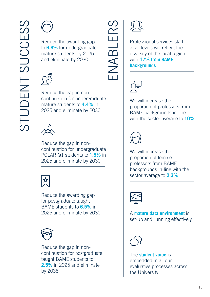

to **6.8%** for undergraduate mature students by 2025 and eliminate by 2030



Reduce the gap in noncontinuation for undergraduate mature students to **4.4%** in 2025 and eliminate by 2030



Reduce the gap in noncontinuation for undergraduate POLAR Q1 students to **1.5%** in 2025 and eliminate by 2030



Reduce the awarding gap for postgraduate taught BAME students to **6.5%** in 2025 and eliminate by 2030



Reduce the gap in noncontinuation for postgraduate taught BAME students to **2.5%** in 2025 and eliminate by 2035



EN<br>
Professional services staff<br>
at all levels will reflect the<br>
diversity of the local regior<br>
with 17% from BAME<br>
backgrounds at all levels will reflect the diversity of the local region with **17% from BAME backgrounds**



We will increase the proportion of professors from BAME backgrounds in-line with the sector average to **10%**



We will increase the proportion of female professors from BAME backgrounds in-line with the sector average to **2.3%**



A **mature data environment** is set-up and running effectively



The **student voice** is embedded in all our evaluative processes across the University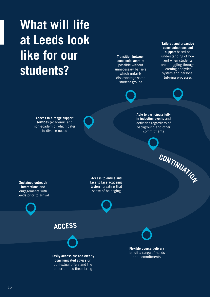# **What will life at Leeds look like for our students?**

**Transition between academic years** is possible without unnecessary barriers which unfairly disadvantage some student groups

**Tailored and proactive communications and support** based on understanding of how and when students are struggling through learning analytics system and personal tutoring processes

**<sup>C</sup>ONTINUATIO<sup>N</sup>**

**Access to a range support services** (academic and non-academic) which cater to diverse needs

**Able to participate fully in induction events** and activities regardless of background and other commitments

**Sustained outreach interactions** and engagements with Leeds prior to arrival

**Access to online and face to face academic tasters,** creating that sense of belonging



**ACCESS**



**Easily accessible and clearly communicated advice** on contextual offers and the opportunities these bring

**Flexible course delivery**  to suit a range of needs and commitments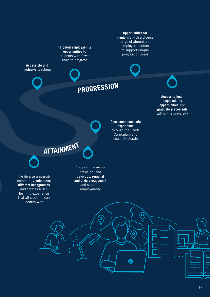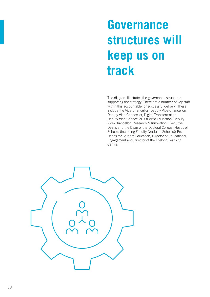# **Governance structures will keep us on track**

The diagram illustrates the governance structures supporting the strategy. There are a number of key staff within this accountable for successful delivery. These include the Vice-Chancellor; Deputy Vice-Chancellor; Deputy Vice-Chancellor, Digital Transformation; Deputy Vice-Chancellor: Student Education; Deputy Vice-Chancellor: Research & Innovation; Executive Deans and the Dean of the Doctoral College; Heads of Schools (including Faculty Graduate Schools); Pro-Deans for Student Education; Director of Educational Engagement and Director of the Lifelong Learning Centre.

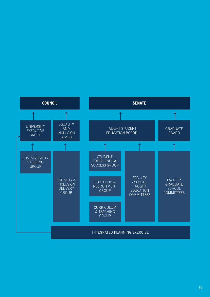

#### 19